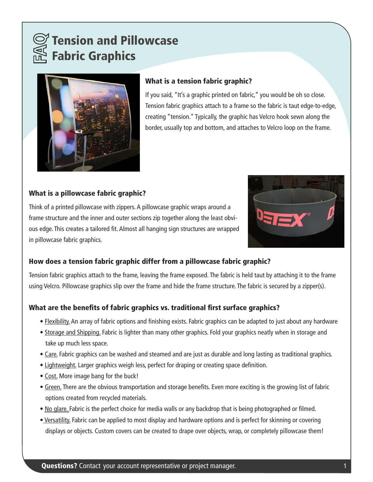



## What is a tension fabric graphic?

If you said, "It's a graphic printed on fabric," you would be oh so close. Tension fabric graphics attach to a frame so the fabric is taut edge-to-edge, creating "tension." Typically, the graphic has Velcro hook sewn along the border, usually top and bottom, and attaches to Velcro loop on the frame.

## What is a pillowcase fabric graphic?

Think of a printed pillowcase with zippers. A pillowcase graphic wraps around a frame structure and the inner and outer sections zip together along the least obvious edge. This creates a tailored fit. Almost all hanging sign structures are wrapped in pillowcase fabric graphics.



### How does a tension fabric graphic differ from a pillowcase fabric graphic?

Tension fabric graphics attach to the frame, leaving the frame exposed. The fabric is held taut by attaching it to the frame using Velcro. Pillowcase graphics slip over the frame and hide the frame structure. The fabric is secured by a zipper(s).

### What are the benefits of fabric graphics vs. traditional first surface graphics?

- Flexibility. An array of fabric options and finishing exists. Fabric graphics can be adapted to just about any hardware
- Storage and Shipping. Fabric is lighter than many other graphics. Fold your graphics neatly when in storage and take up much less space.
- Care. Fabric graphics can be washed and steamed and are just as durable and long lasting as traditional graphics.
- Lightweight. Larger graphics weigh less, perfect for draping or creating space definition.
- Cost. More image bang for the buck!
- Green. There are the obvious transportation and storage benefits. Even more exciting is the growing list of fabric options created from recycled materials.
- No glare. Fabric is the perfect choice for media walls or any backdrop that is being photographed or filmed.
- Versatility. Fabric can be applied to most display and hardware options and is perfect for skinning or covering displays or objects. Custom covers can be created to drape over objects, wrap, or completely pillowcase them!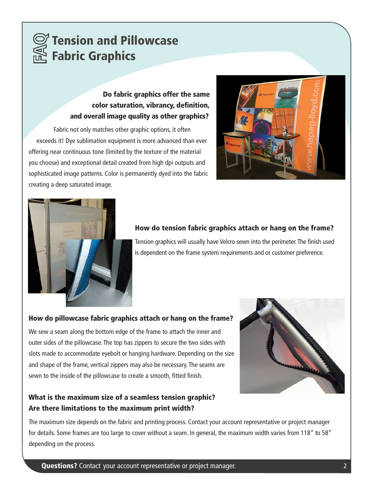

## Do fabric graphics offer the same color saturation, vibrancy, definition, and overall image quality as other graphics?

Fabric not only matches other graphic options, it often exceeds it! Dye sublimation equipment is more advanced than ever offering near continuous tone (limited by the texture of the material you choose) and exceptional detail created from high dpi outputs and sophisticated image patterns. Color is permanently dyed into the fabric creating a deep saturated image.





## How do tension fabric graphics attach or hang on the frame?

Tension graphics will usually have Velcro sewn into the perimeter. The finish used is dependent on the frame system requirements and or customer preference.

#### How do pillowcase fabric graphics attach or hang on the frame?

We sew a seam along the bottom edge of the frame to attach the inner and outer sides of the pillowcase. The top has zippers to secure the two sides with slots made to accommodate eyebolt or hanging hardware. Depending on the size and shape of the frame, vertical zippers may also be necessary. The seams are sewn to the inside of the pillowcase to create a smooth, fitted finish.

## What is the maximum size of a seamless tension graphic? Are there limitations to the maximum print width?

The maximum size depends on the fabric and printing process. Contact your account representative or project manager for details. Some frames are too large to cover without a seam. In general, the maximum width varies from 118" to 58" depending on the process.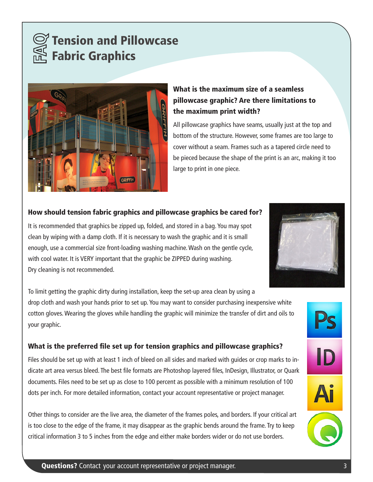



## What is the maximum size of a seamless pillowcase graphic? Are there limitations to the maximum print width?

All pillowcase graphics have seams, usually just at the top and bottom of the structure. However, some frames are too large to cover without a seam. Frames such as a tapered circle need to be pieced because the shape of the print is an arc, making it too large to print in one piece.

## How should tension fabric graphics and pillowcase graphics be cared for?

It is recommended that graphics be zipped up, folded, and stored in a bag. You may spot clean by wiping with a damp cloth. If it is necessary to wash the graphic and it is small enough, use a commercial size front-loading washing machine. Wash on the gentle cycle, with cool water. It is VERY important that the graphic be ZIPPED during washing. Dry cleaning is not recommended.

To limit getting the graphic dirty during installation, keep the set-up area clean by using a drop cloth and wash your hands prior to set up. You may want to consider purchasing inexpensive white cotton gloves. Wearing the gloves while handling the graphic will minimize the transfer of dirt and oils to your graphic.

## What is the preferred file set up for tension graphics and pillowcase graphics?

Files should be set up with at least 1 inch of bleed on all sides and marked with guides or crop marks to indicate art area versus bleed. The best file formats are Photoshop layered files, InDesign, Illustrator, or Quark documents. Files need to be set up as close to 100 percent as possible with a minimum resolution of 100 dots per inch. For more detailed information, contact your account representative or project manager.

Other things to consider are the live area, the diameter of the frames poles, and borders. If your critical art is too close to the edge of the frame, it may disappear as the graphic bends around the frame. Try to keep critical information 3 to 5 inches from the edge and either make borders wider or do not use borders.